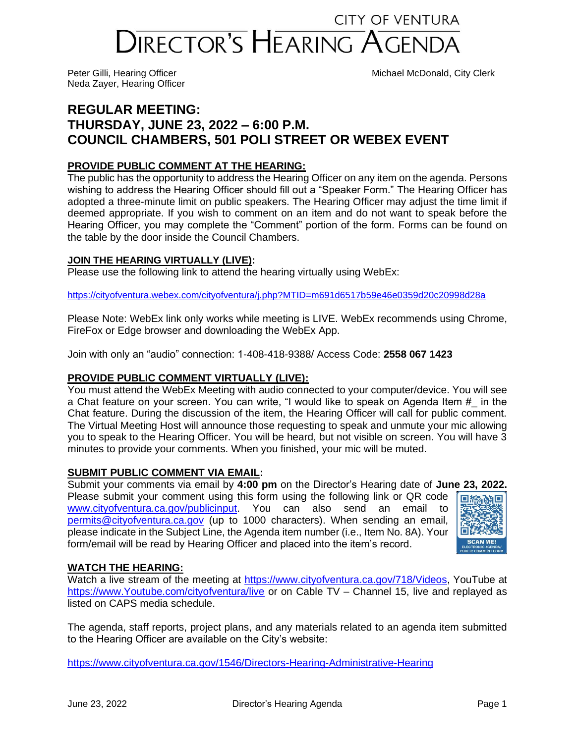# **CITY OF VENTURA** DIRECTOR'S HEARING AGENDA

Neda Zayer, Hearing Officer

Peter Gilli, Hearing Officer Michael McDonald, City Clerk

# **REGULAR MEETING: THURSDAY, JUNE 23, 2022 – 6:00 P.M. COUNCIL CHAMBERS, 501 POLI STREET OR WEBEX EVENT**

#### **PROVIDE PUBLIC COMMENT AT THE HEARING:**

The public has the opportunity to address the Hearing Officer on any item on the agenda. Persons wishing to address the Hearing Officer should fill out a "Speaker Form." The Hearing Officer has adopted a three-minute limit on public speakers. The Hearing Officer may adjust the time limit if deemed appropriate. If you wish to comment on an item and do not want to speak before the Hearing Officer, you may complete the "Comment" portion of the form. Forms can be found on the table by the door inside the Council Chambers.

#### **JOIN THE HEARING VIRTUALLY (LIVE):**

Please use the following link to attend the hearing virtually using WebEx:

<https://cityofventura.webex.com/cityofventura/j.php?MTID=m691d6517b59e46e0359d20c20998d28a>

Please Note: WebEx link only works while meeting is LIVE. WebEx recommends using Chrome, FireFox or Edge browser and downloading the WebEx App.

Join with only an "audio" connection: 1-408-418-9388/ Access Code: **2558 067 1423**

#### **PROVIDE PUBLIC COMMENT VIRTUALLY (LIVE):**

You must attend the WebEx Meeting with audio connected to your computer/device. You will see a Chat feature on your screen. You can write, "I would like to speak on Agenda Item #\_ in the Chat feature. During the discussion of the item, the Hearing Officer will call for public comment. The Virtual Meeting Host will announce those requesting to speak and unmute your mic allowing you to speak to the Hearing Officer. You will be heard, but not visible on screen. You will have 3 minutes to provide your comments. When you finished, your mic will be muted.

#### **SUBMIT PUBLIC COMMENT VIA EMAIL:**

Submit your comments via email by **4:00 pm** on the Director's Hearing date of **June 23, 2022.**  Please submit your comment using this form using the following link or QR code [www.cityofventura.ca.gov/publicinput.](http://www.cityofventura.ca.gov/publicinput) You can also send an email to [permits@cityofventura.ca.gov](mailto:permits@cityofventura.ca.gov) (up to 1000 characters). When sending an email, please indicate in the Subject Line, the Agenda item number (i.e., Item No. 8A). Your form/email will be read by Hearing Officer and placed into the item's record.



#### **WATCH THE HEARING:**

Watch a live stream of the meeting at [https://www.cityofventura.ca.gov/718/Videos,](https://www.cityofventura.ca.gov/718/Videos) YouTube at [https://www.Youtube.com/cityofventura/live](https://www.youtube.com/cityofventura/live) or on Cable TV – Channel 15, live and replayed as listed on CAPS media schedule.

The agenda, staff reports, project plans, and any materials related to an agenda item submitted to the Hearing Officer are available on the City's website:

<https://www.cityofventura.ca.gov/1546/Directors-Hearing-Administrative-Hearing>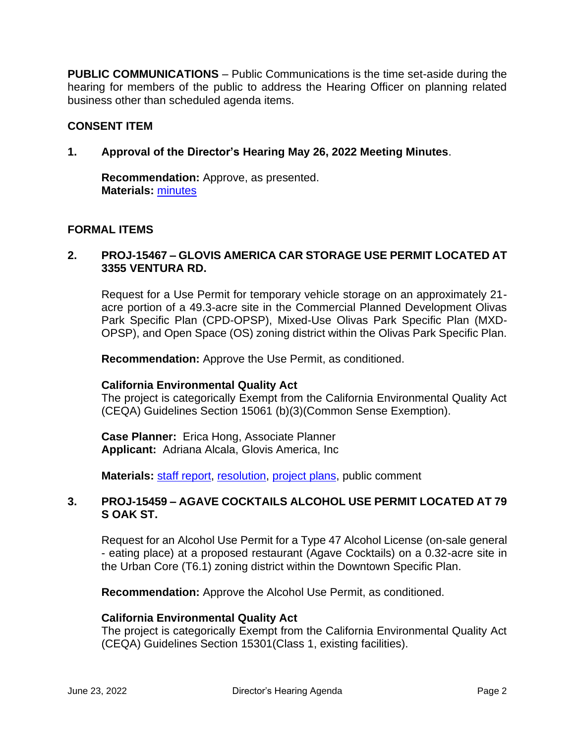**PUBLIC COMMUNICATIONS** – Public Communications is the time set-aside during the hearing for members of the public to address the Hearing Officer on planning related business other than scheduled agenda items.

# **CONSENT ITEM**

**1. Approval of the Director's Hearing May 26, 2022 Meeting Minutes**.

**Recommendation:** Approve, as presented. **Materials:** [minutes](https://www.cityofventura.ca.gov/DocumentCenter/View/31945/05-26-22-DH-Meeting-Minutes-Draft)

# **FORMAL ITEMS**

#### **2. PROJ-15467 – GLOVIS AMERICA CAR STORAGE USE PERMIT LOCATED AT 3355 VENTURA RD.**

Request for a Use Permit for temporary vehicle storage on an approximately 21 acre portion of a 49.3-acre site in the Commercial Planned Development Olivas Park Specific Plan (CPD-OPSP), Mixed-Use Olivas Park Specific Plan (MXD-OPSP), and Open Space (OS) zoning district within the Olivas Park Specific Plan.

**Recommendation:** Approve the Use Permit, as conditioned.

#### **California Environmental Quality Act**

The project is categorically Exempt from the California Environmental Quality Act (CEQA) Guidelines Section 15061 (b)(3)(Common Sense Exemption).

**Case Planner:** Erica Hong, Associate Planner **Applicant:** Adriana Alcala, Glovis America, Inc

**Materials:** [staff report,](https://www.cityofventura.ca.gov/DocumentCenter/View/31989/PROJ-15467_Glovis-America-Car-Storage_Staff-Report) [resolution,](https://www.cityofventura.ca.gov/DocumentCenter/View/31988/PROJ-15467_-Glovis-America-Car-Storage_Resolution) [project plans,](https://www.cityofventura.ca.gov/DocumentCenter/View/31990/PROJ-15467) public comment

#### **3. PROJ-15459 – AGAVE COCKTAILS ALCOHOL USE PERMIT LOCATED AT 79 S OAK ST.**

Request for an Alcohol Use Permit for a Type 47 Alcohol License (on-sale general - eating place) at a proposed restaurant (Agave Cocktails) on a 0.32-acre site in the Urban Core (T6.1) zoning district within the Downtown Specific Plan.

**Recommendation:** Approve the Alcohol Use Permit, as conditioned.

#### **California Environmental Quality Act**

The project is categorically Exempt from the California Environmental Quality Act (CEQA) Guidelines Section 15301(Class 1, existing facilities).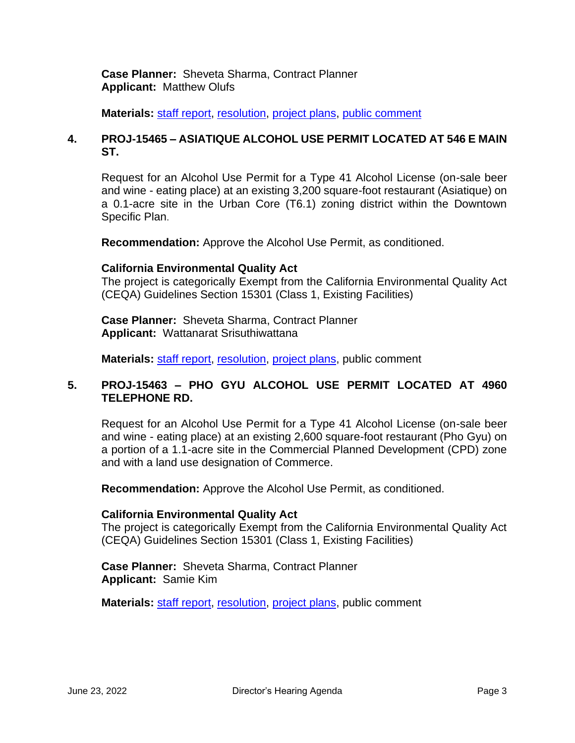**Case Planner:** Sheveta Sharma, Contract Planner **Applicant:** Matthew Olufs

**Materials:** [staff report,](https://www.cityofventura.ca.gov/DocumentCenter/View/32005/PROJ-15459-Agave-Cocktails-AUP_Staff-Report) [resolution,](https://www.cityofventura.ca.gov/DocumentCenter/View/32007/PROJ-15459-Agave-Cocktails-AUP-Resolution) [project plans,](https://www.cityofventura.ca.gov/DocumentCenter/View/32006/PROJ-15459-Exhibit-A---Plans) [public comment](https://www.cityofventura.ca.gov/DocumentCenter/View/32025/PROJ-15459-PC-EXT--Opposing-Agave-Cocktails)

# **4. PROJ-15465 – ASIATIQUE ALCOHOL USE PERMIT LOCATED AT 546 E MAIN ST.**

Request for an Alcohol Use Permit for a Type 41 Alcohol License (on-sale beer and wine - eating place) at an existing 3,200 square-foot restaurant (Asiatique) on a 0.1-acre site in the Urban Core (T6.1) zoning district within the Downtown Specific Plan.

**Recommendation:** Approve the Alcohol Use Permit, as conditioned.

#### **California Environmental Quality Act**

The project is categorically Exempt from the California Environmental Quality Act (CEQA) Guidelines Section 15301 (Class 1, Existing Facilities)

**Case Planner:** Sheveta Sharma, Contract Planner  **Applicant:** Wattanarat Srisuthiwattana

**Materials:** [staff report,](https://www.cityofventura.ca.gov/DocumentCenter/View/32012/PROJ-15465_Asiatique_Staff-Report) [resolution,](https://www.cityofventura.ca.gov/DocumentCenter/View/32011/PROJ-15465-Resolution) [project plans,](https://www.cityofventura.ca.gov/DocumentCenter/View/32013/PROJ-15465-PLANS) public comment

#### **5. PROJ-15463 – PHO GYU ALCOHOL USE PERMIT LOCATED AT 4960 TELEPHONE RD.**

Request for an Alcohol Use Permit for a Type 41 Alcohol License (on-sale beer and wine - eating place) at an existing 2,600 square-foot restaurant (Pho Gyu) on a portion of a 1.1-acre site in the Commercial Planned Development (CPD) zone and with a land use designation of Commerce.

**Recommendation:** Approve the Alcohol Use Permit, as conditioned.

#### **California Environmental Quality Act**

The project is categorically Exempt from the California Environmental Quality Act (CEQA) Guidelines Section 15301 (Class 1, Existing Facilities)

**Case Planner:** Sheveta Sharma, Contract Planner  **Applicant:** Samie Kim

**Materials:** [staff report,](https://www.cityofventura.ca.gov/DocumentCenter/View/32010/PROJ-15463_Staff-Report) [resolution,](https://www.cityofventura.ca.gov/DocumentCenter/View/32009/PROJ-15463-Pho-Gyu-Resolution) [project plans,](https://www.cityofventura.ca.gov/DocumentCenter/View/32008/PROJ-15463-Exhibit-A---Plans) public comment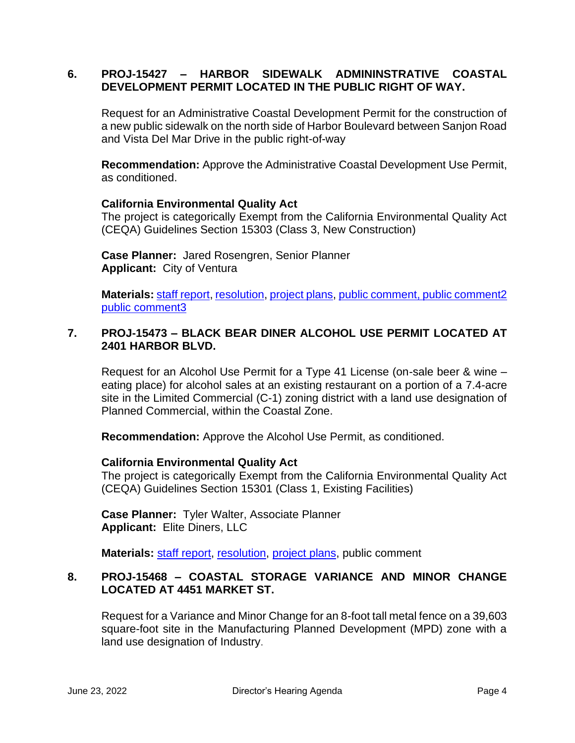# **6. PROJ-15427 – HARBOR SIDEWALK ADMININSTRATIVE COASTAL DEVELOPMENT PERMIT LOCATED IN THE PUBLIC RIGHT OF WAY.**

Request for an Administrative Coastal Development Permit for the construction of a new public sidewalk on the north side of Harbor Boulevard between Sanjon Road and Vista Del Mar Drive in the public right-of-way

**Recommendation:** Approve the Administrative Coastal Development Use Permit, as conditioned.

#### **California Environmental Quality Act**

The project is categorically Exempt from the California Environmental Quality Act (CEQA) Guidelines Section 15303 (Class 3, New Construction)

**Case Planner:** Jared Rosengren, Senior Planner  **Applicant:** City of Ventura

**Materials:** [staff report,](https://www.cityofventura.ca.gov/DocumentCenter/View/31982/PROJ-15427_Harbor-Sidewalk-ACDP_Staff-Report) [resolution,](https://www.cityofventura.ca.gov/DocumentCenter/View/31985/PROJ-15427_Harbor-Blvd-Sidewalk_reso) [project plans,](https://www.cityofventura.ca.gov/DocumentCenter/View/31984/PROJ-15427Exhibit-A---signed-plans_v1) [public comment,](https://www.cityofventura.ca.gov/DocumentCenter/View/32022/PROJ-15427-PC-Oppose-Sidewalk-6_9_22) [public comment2](https://www.cityofventura.ca.gov/DocumentCenter/View/32051/062322-DH-Supplimental-Packet---Agenda-Item-6) [public comment3](https://www.cityofventura.ca.gov/DocumentCenter/View/32064/062322-DH-Supplimental-Packet-2---Agenda-Item-6)

# **7. PROJ-15473 – BLACK BEAR DINER ALCOHOL USE PERMIT LOCATED AT 2401 HARBOR BLVD.**

Request for an Alcohol Use Permit for a Type 41 License (on-sale beer & wine – eating place) for alcohol sales at an existing restaurant on a portion of a 7.4-acre site in the Limited Commercial (C-1) zoning district with a land use designation of Planned Commercial, within the Coastal Zone.

**Recommendation:** Approve the Alcohol Use Permit, as conditioned.

#### **California Environmental Quality Act**

The project is categorically Exempt from the California Environmental Quality Act (CEQA) Guidelines Section 15301 (Class 1, Existing Facilities)

**Case Planner:** Tyler Walter, Associate Planner  **Applicant:** Elite Diners, LLC

**Materials: [staff report,](https://www.cityofventura.ca.gov/DocumentCenter/View/31996/PROJ-15473_BlackBearDiner_Staff-Report) [resolution,](https://www.cityofventura.ca.gov/DocumentCenter/View/31995/PROJ-15473_2401-Harbor-Blvd_Resolution) [project plans,](https://www.cityofventura.ca.gov/DocumentCenter/View/32000/PROJ-15473-PLAN) public comment** 

#### **8. PROJ-15468 – COASTAL STORAGE VARIANCE AND MINOR CHANGE LOCATED AT 4451 MARKET ST.**

Request for a Variance and Minor Change for an 8-foot tall metal fence on a 39,603 square-foot site in the Manufacturing Planned Development (MPD) zone with a land use designation of Industry.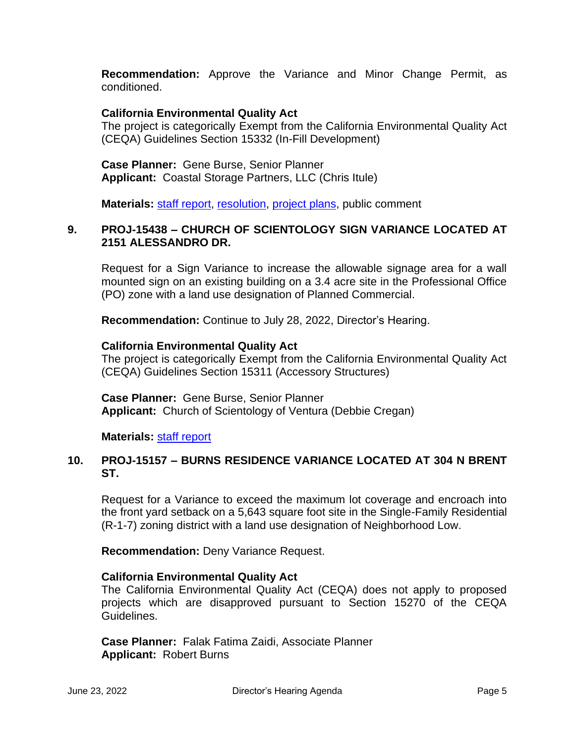**Recommendation:** Approve the Variance and Minor Change Permit, as conditioned.

#### **California Environmental Quality Act**

The project is categorically Exempt from the California Environmental Quality Act (CEQA) Guidelines Section 15332 (In-Fill Development)

**Case Planner:** Gene Burse, Senior Planner  **Applicant:** Coastal Storage Partners, LLC (Chris Itule)

**Materials: [staff report,](https://www.cityofventura.ca.gov/DocumentCenter/View/31992/PROJ-15468_Coastal-Storage-Variance-and-MC_sr) [resolution,](https://www.cityofventura.ca.gov/DocumentCenter/View/31991/PROJ-15468_Coastal-Storage-Variance-and-MC_reso) [project plans,](https://www.cityofventura.ca.gov/DocumentCenter/View/32021/PROJ-15468-Exhibit-A--Project-Plans) public comment** 

#### **9. PROJ-15438 – CHURCH OF SCIENTOLOGY SIGN VARIANCE LOCATED AT 2151 ALESSANDRO DR.**

Request for a Sign Variance to increase the allowable signage area for a wall mounted sign on an existing building on a 3.4 acre site in the Professional Office (PO) zone with a land use designation of Planned Commercial.

**Recommendation:** Continue to July 28, 2022, Director's Hearing.

#### **California Environmental Quality Act**

The project is categorically Exempt from the California Environmental Quality Act (CEQA) Guidelines Section 15311 (Accessory Structures)

**Case Planner:** Gene Burse, Senior Planner  **Applicant:** Church of Scientology of Ventura (Debbie Cregan)

**Materials:** [staff report](https://www.cityofventura.ca.gov/DocumentCenter/View/31987/PROJ-15438-Continuance-Memo-6-23-22)

#### **10. PROJ-15157 – BURNS RESIDENCE VARIANCE LOCATED AT 304 N BRENT ST.**

Request for a Variance to exceed the maximum lot coverage and encroach into the front yard setback on a 5,643 square foot site in the Single-Family Residential (R-1-7) zoning district with a land use designation of Neighborhood Low.

**Recommendation:** Deny Variance Request.

#### **California Environmental Quality Act**

The California Environmental Quality Act (CEQA) does not apply to proposed projects which are disapproved pursuant to Section 15270 of the CEQA Guidelines.

**Case Planner:** Falak Fatima Zaidi, Associate Planner  **Applicant:** Robert Burns